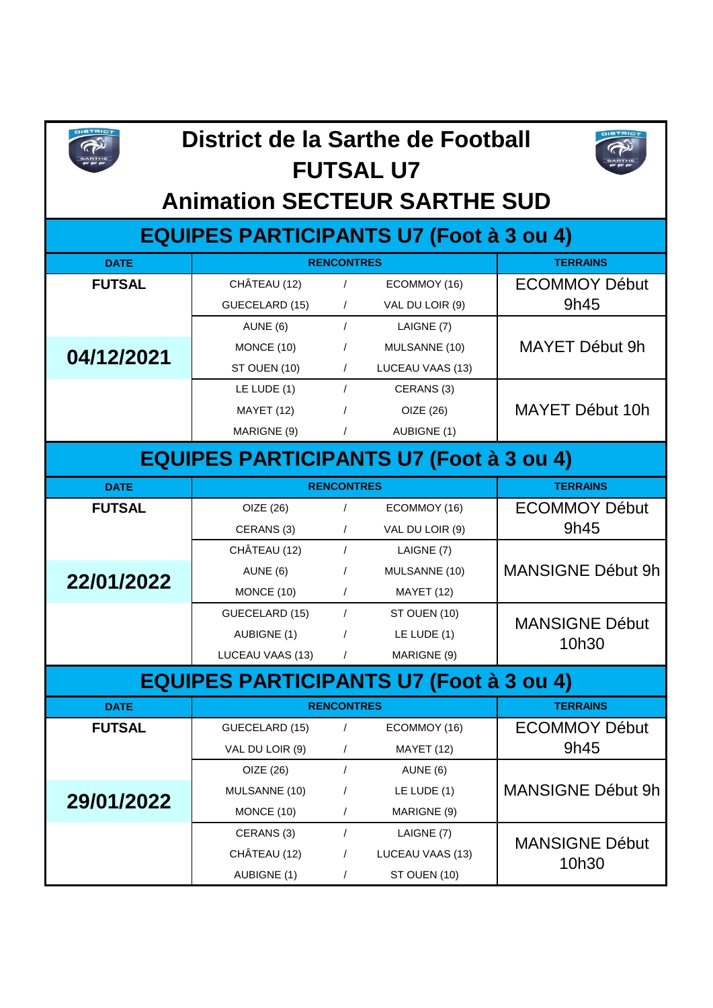

## **District de la Sarthe de Football FUTSAL U7**



## **Animation SECTEUR SARTHE SUD**

## **EQUIPES PARTICIPANTS U7 (Foot à 3 ou 4)**

| <b>DATE</b>                                    | <b>RENCONTRES</b> | <b>TERRAINS</b> |                   |                          |  |  |  |
|------------------------------------------------|-------------------|-----------------|-------------------|--------------------------|--|--|--|
| <b>FUTSAL</b>                                  | CHÂTEAU (12)      | $\prime$        | ECOMMOY (16)      | <b>ECOMMOY Début</b>     |  |  |  |
|                                                | GUECELARD (15)    | $\sqrt{2}$      | VAL DU LOIR (9)   | 9h45                     |  |  |  |
|                                                | AUNE (6)          | $\prime$        | LAIGNE (7)        |                          |  |  |  |
| 04/12/2021                                     | MONCE (10)        | $\prime$        | MULSANNE (10)     | MAYET Début 9h           |  |  |  |
|                                                | ST OUEN (10)      | $\sqrt{2}$      | LUCEAU VAAS (13)  |                          |  |  |  |
|                                                | LE LUDE (1)       | $\sqrt{ }$      | CERANS (3)        |                          |  |  |  |
|                                                | <b>MAYET (12)</b> | $\prime$        | OIZE (26)         | MAYET Début 10h          |  |  |  |
|                                                | MARIGNE (9)       | $\sqrt{2}$      | AUBIGNE (1)       |                          |  |  |  |
| <b>EQUIPES PARTICIPANTS U7 (Foot à 3 ou 4)</b> |                   |                 |                   |                          |  |  |  |
| <b>DATE</b>                                    | <b>RENCONTRES</b> | <b>TERRAINS</b> |                   |                          |  |  |  |
| <b>FUTSAL</b>                                  | OIZE (26)         | $\sqrt{2}$      | ECOMMOY (16)      | <b>ECOMMOY Début</b>     |  |  |  |
|                                                | CERANS (3)        | $\sqrt{2}$      | VAL DU LOIR (9)   | 9h45                     |  |  |  |
|                                                | CHÂTEAU (12)      | $\sqrt{2}$      | LAIGNE (7)        |                          |  |  |  |
| 22/01/2022                                     | AUNE (6)          | $\prime$        | MULSANNE (10)     | <b>MANSIGNE Début 9h</b> |  |  |  |
|                                                | MONCE (10)        | $\sqrt{2}$      | <b>MAYET (12)</b> |                          |  |  |  |
|                                                | GUECELARD (15)    | $\prime$        | ST OUEN (10)      | <b>MANSIGNE Début</b>    |  |  |  |
|                                                | AUBIGNE (1)       | $\sqrt{2}$      | LE LUDE $(1)$     | 10h30                    |  |  |  |
|                                                | LUCEAU VAAS (13)  | $\prime$        | MARIGNE (9)       |                          |  |  |  |
| <b>EQUIPES PARTICIPANTS U7 (Foot à 3 ou 4)</b> |                   |                 |                   |                          |  |  |  |
| <b>DATE</b>                                    | <b>RENCONTRES</b> | <b>TERRAINS</b> |                   |                          |  |  |  |
| <b>FUTSAL</b>                                  | GUECELARD (15)    | $\sqrt{2}$      | ECOMMOY (16)      | <b>ECOMMOY Début</b>     |  |  |  |
|                                                | VAL DU LOIR (9)   | $\sqrt{2}$      | <b>MAYET (12)</b> | 9h45                     |  |  |  |
| 29/01/2022                                     | OIZE (26)         | $\prime$        | AUNE (6)          |                          |  |  |  |
|                                                | MULSANNE (10)     | $\prime$        | LE LUDE (1)       | MANSIGNE Début 9h        |  |  |  |
|                                                | MONCE (10)        | $\prime$        | MARIGNE (9)       |                          |  |  |  |
|                                                | CERANS (3)        | $\sqrt{ }$      | LAIGNE (7)        | <b>MANSIGNE Début</b>    |  |  |  |
|                                                | CHÂTEAU (12)      | $\prime$        | LUCEAU VAAS (13)  | 10h30                    |  |  |  |
|                                                | AUBIGNE (1)       | $\overline{1}$  | ST OUEN (10)      |                          |  |  |  |